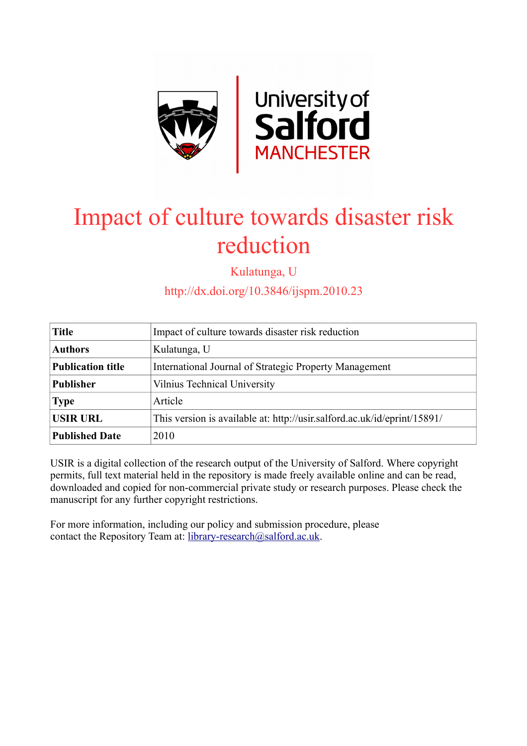

# Impact of culture towards disaster risk reduction

Kulatunga, U

http://dx.doi.org/10.3846/ijspm.2010.23

| <b>Title</b>             | Impact of culture towards disaster risk reduction                        |
|--------------------------|--------------------------------------------------------------------------|
| <b>Authors</b>           | Kulatunga, U                                                             |
| <b>Publication title</b> | International Journal of Strategic Property Management                   |
| <b>Publisher</b>         | Vilnius Technical University                                             |
| <b>Type</b>              | Article                                                                  |
| <b>USIR URL</b>          | This version is available at: http://usir.salford.ac.uk/id/eprint/15891/ |
| <b>Published Date</b>    | 2010                                                                     |

USIR is a digital collection of the research output of the University of Salford. Where copyright permits, full text material held in the repository is made freely available online and can be read, downloaded and copied for non-commercial private study or research purposes. Please check the manuscript for any further copyright restrictions.

For more information, including our policy and submission procedure, please contact the Repository Team at: [library-research@salford.ac.uk.](mailto:library-research@salford.ac.uk)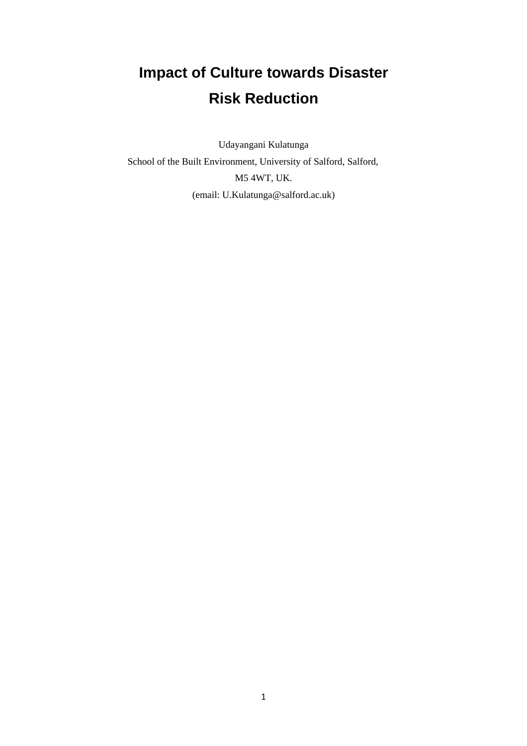# **Impact of Culture towards Disaster Risk Reduction**

Udayangani Kulatunga School of the Built Environment, University of Salford, Salford, M5 4WT, UK. (email: U.Kulatunga@salford.ac.uk)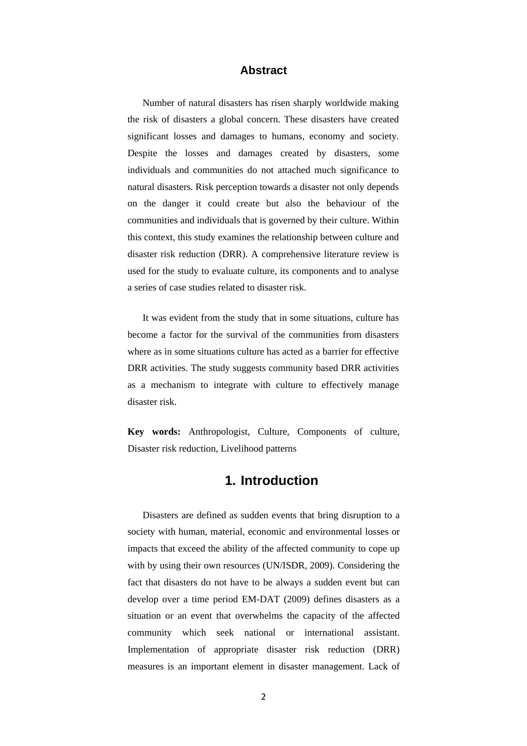#### **Abstract**

Number of natural disasters has risen sharply worldwide making the risk of disasters a global concern. These disasters have created significant losses and damages to humans, economy and society. Despite the losses and damages created by disasters, some individuals and communities do not attached much significance to natural disasters. Risk perception towards a disaster not only depends on the danger it could create but also the behaviour of the communities and individuals that is governed by their culture. Within this context, this study examines the relationship between culture and disaster risk reduction (DRR). A comprehensive literature review is used for the study to evaluate culture, its components and to analyse a series of case studies related to disaster risk.

It was evident from the study that in some situations, culture has become a factor for the survival of the communities from disasters where as in some situations culture has acted as a barrier for effective DRR activities. The study suggests community based DRR activities as a mechanism to integrate with culture to effectively manage disaster risk.

**Key words:** Anthropologist, Culture, Components of culture, Disaster risk reduction, Livelihood patterns

# **1. Introduction**

Disasters are defined as sudden events that bring disruption to a society with human, material, economic and environmental losses or impacts that exceed the ability of the affected community to cope up with by using their own resources (UN/ISDR, 2009). Considering the fact that disasters do not have to be always a sudden event but can develop over a time period EM-DAT (2009) defines disasters as a situation or an event that overwhelms the capacity of the affected community which seek national or international assistant. Implementation of appropriate disaster risk reduction (DRR) measures is an important element in disaster management. Lack of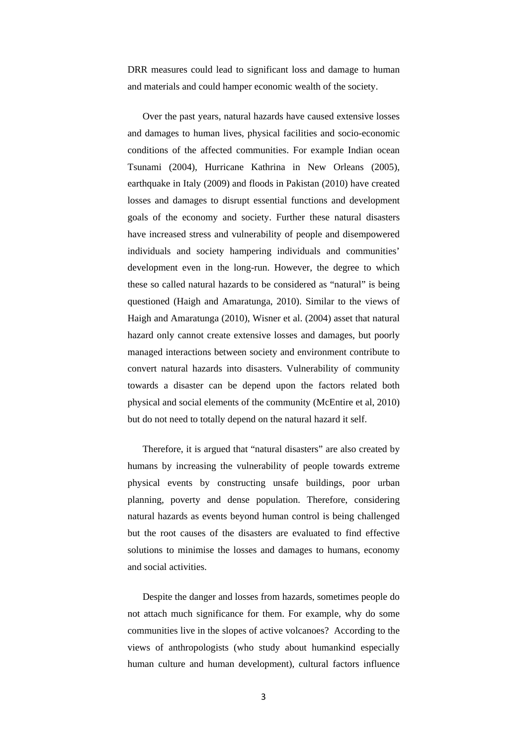DRR measures could lead to significant loss and damage to human and materials and could hamper economic wealth of the society.

Over the past years, natural hazards have caused extensive losses and damages to human lives, physical facilities and socio-economic conditions of the affected communities. For example Indian ocean Tsunami (2004), Hurricane Kathrina in New Orleans (2005), earthquake in Italy (2009) and floods in Pakistan (2010) have created losses and damages to disrupt essential functions and development goals of the economy and society. Further these natural disasters have increased stress and vulnerability of people and disempowered individuals and society hampering individuals and communities' development even in the long-run. However, the degree to which these so called natural hazards to be considered as "natural" is being questioned (Haigh and Amaratunga, 2010). Similar to the views of Haigh and Amaratunga (2010), Wisner et al. (2004) asset that natural hazard only cannot create extensive losses and damages, but poorly managed interactions between society and environment contribute to convert natural hazards into disasters. Vulnerability of community towards a disaster can be depend upon the factors related both physical and social elements of the community (McEntire et al, 2010) but do not need to totally depend on the natural hazard it self.

Therefore, it is argued that "natural disasters" are also created by humans by increasing the vulnerability of people towards extreme physical events by constructing unsafe buildings, poor urban planning, poverty and dense population. Therefore, considering natural hazards as events beyond human control is being challenged but the root causes of the disasters are evaluated to find effective solutions to minimise the losses and damages to humans, economy and social activities.

Despite the danger and losses from hazards, sometimes people do not attach much significance for them. For example, why do some communities live in the slopes of active volcanoes? According to the views of anthropologists (who study about humankind especially human culture and human development), cultural factors influence

3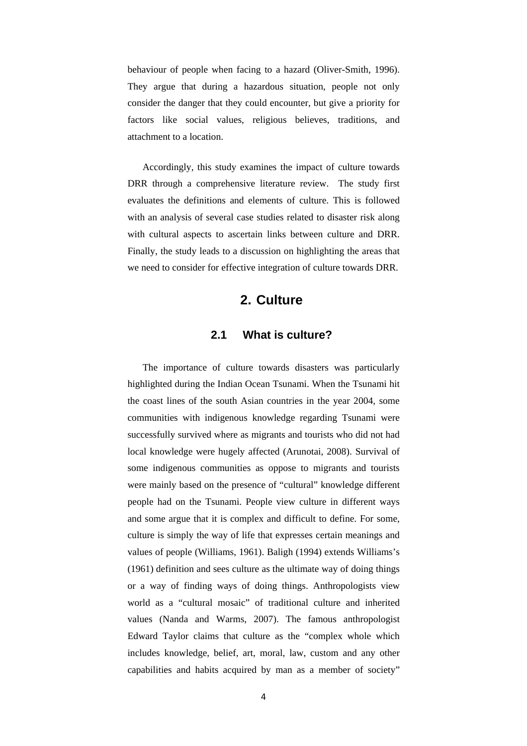behaviour of people when facing to a hazard (Oliver-Smith, 1996). They argue that during a hazardous situation, people not only consider the danger that they could encounter, but give a priority for factors like social values, religious believes, traditions, and attachment to a location.

Accordingly, this study examines the impact of culture towards DRR through a comprehensive literature review. The study first evaluates the definitions and elements of culture. This is followed with an analysis of several case studies related to disaster risk along with cultural aspects to ascertain links between culture and DRR. Finally, the study leads to a discussion on highlighting the areas that we need to consider for effective integration of culture towards DRR.

# **2. Culture**

#### **2.1 What is culture?**

The importance of culture towards disasters was particularly highlighted during the Indian Ocean Tsunami. When the Tsunami hit the coast lines of the south Asian countries in the year 2004, some communities with indigenous knowledge regarding Tsunami were successfully survived where as migrants and tourists who did not had local knowledge were hugely affected (Arunotai, 2008). Survival of some indigenous communities as oppose to migrants and tourists were mainly based on the presence of "cultural" knowledge different people had on the Tsunami. People view culture in different ways and some argue that it is complex and difficult to define. For some, culture is simply the way of life that expresses certain meanings and values of people (Williams, 1961). Baligh (1994) extends Williams's (1961) definition and sees culture as the ultimate way of doing things or a way of finding ways of doing things. Anthropologists view world as a "cultural mosaic" of traditional culture and inherited values (Nanda and Warms, 2007). The famous anthropologist Edward Taylor claims that culture as the "complex whole which includes knowledge, belief, art, moral, law, custom and any other capabilities and habits acquired by man as a member of society"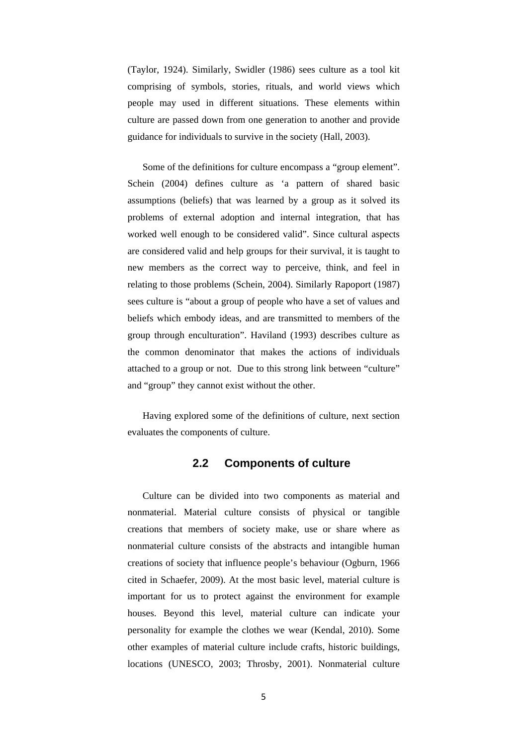(Taylor, 1924). Similarly, Swidler (1986) sees culture as a tool kit comprising of symbols, stories, rituals, and world views which people may used in different situations. These elements within culture are passed down from one generation to another and provide guidance for individuals to survive in the society (Hall, 2003).

Some of the definitions for culture encompass a "group element". Schein (2004) defines culture as 'a pattern of shared basic assumptions (beliefs) that was learned by a group as it solved its problems of external adoption and internal integration, that has worked well enough to be considered valid". Since cultural aspects are considered valid and help groups for their survival, it is taught to new members as the correct way to perceive, think, and feel in relating to those problems (Schein, 2004). Similarly Rapoport (1987) sees culture is "about a group of people who have a set of values and beliefs which embody ideas, and are transmitted to members of the group through enculturation". Haviland (1993) describes culture as the common denominator that makes the actions of individuals attached to a group or not. Due to this strong link between "culture" and "group" they cannot exist without the other.

Having explored some of the definitions of culture, next section evaluates the components of culture.

#### **2.2 Components of culture**

Culture can be divided into two components as material and nonmaterial. Material culture consists of physical or tangible creations that members of society make, use or share where as nonmaterial culture consists of the abstracts and intangible human creations of society that influence people's behaviour (Ogburn, 1966 cited in Schaefer, 2009). At the most basic level, material culture is important for us to protect against the environment for example houses. Beyond this level, material culture can indicate your personality for example the clothes we wear (Kendal, 2010). Some other examples of material culture include crafts, historic buildings, locations (UNESCO, 2003; Throsby, 2001). Nonmaterial culture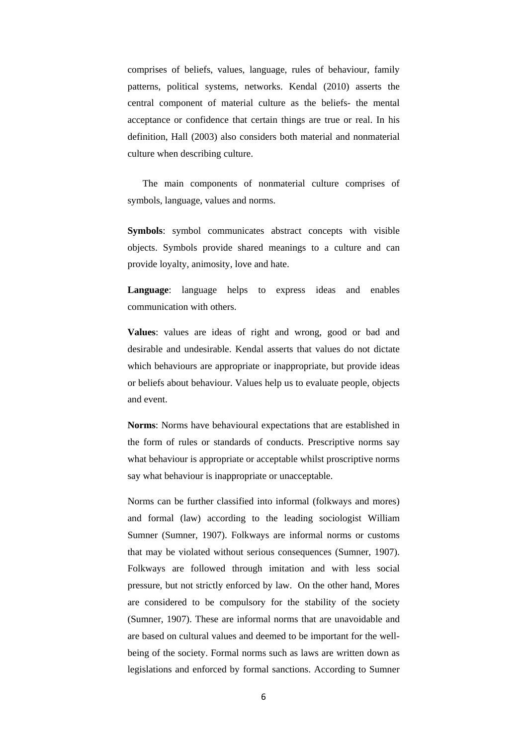comprises of beliefs, values, language, rules of behaviour, family patterns, political systems, networks. Kendal (2010) asserts the central component of material culture as the beliefs- the mental acceptance or confidence that certain things are true or real. In his definition, Hall (2003) also considers both material and nonmaterial culture when describing culture.

The main components of nonmaterial culture comprises of symbols, language, values and norms.

**Symbols**: symbol communicates abstract concepts with visible objects. Symbols provide shared meanings to a culture and can provide loyalty, animosity, love and hate.

**Language**: language helps to express ideas and enables communication with others.

**Values**: values are ideas of right and wrong, good or bad and desirable and undesirable. Kendal asserts that values do not dictate which behaviours are appropriate or inappropriate, but provide ideas or beliefs about behaviour. Values help us to evaluate people, objects and event.

**Norms**: Norms have behavioural expectations that are established in the form of rules or standards of conducts. Prescriptive norms say what behaviour is appropriate or acceptable whilst proscriptive norms say what behaviour is inappropriate or unacceptable.

Norms can be further classified into informal (folkways and mores) and formal (law) according to the leading sociologist William Sumner (Sumner, 1907). Folkways are informal norms or customs that may be violated without serious consequences (Sumner, 1907). Folkways are followed through imitation and with less social pressure, but not strictly enforced by law. On the other hand, Mores are considered to be compulsory for the stability of the society (Sumner, 1907). These are informal norms that are unavoidable and are based on cultural values and deemed to be important for the wellbeing of the society. Formal norms such as laws are written down as legislations and enforced by formal sanctions. According to Sumner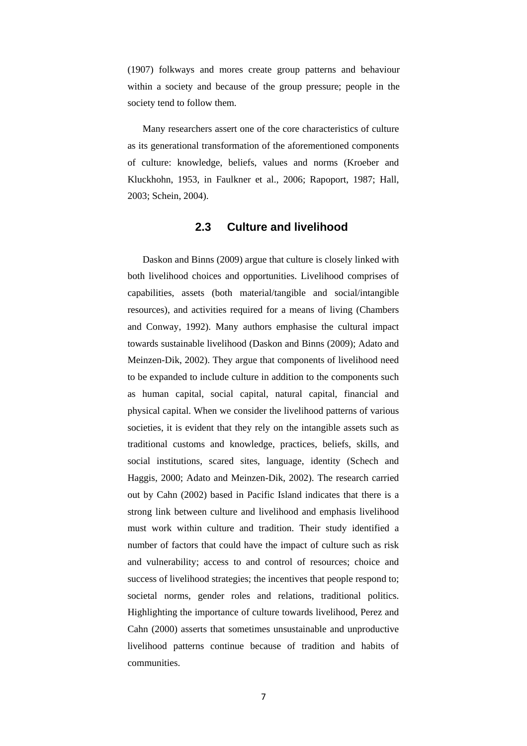(1907) folkways and mores create group patterns and behaviour within a society and because of the group pressure; people in the society tend to follow them.

Many researchers assert one of the core characteristics of culture as its generational transformation of the aforementioned components of culture: knowledge, beliefs, values and norms (Kroeber and Kluckhohn, 1953, in Faulkner et al., 2006; Rapoport, 1987; Hall, 2003; Schein, 2004).

#### **2.3 Culture and livelihood**

Daskon and Binns (2009) argue that culture is closely linked with both livelihood choices and opportunities. Livelihood comprises of capabilities, assets (both material/tangible and social/intangible resources), and activities required for a means of living (Chambers and Conway, 1992). Many authors emphasise the cultural impact towards sustainable livelihood (Daskon and Binns (2009); Adato and Meinzen-Dik, 2002). They argue that components of livelihood need to be expanded to include culture in addition to the components such as human capital, social capital, natural capital, financial and physical capital. When we consider the livelihood patterns of various societies, it is evident that they rely on the intangible assets such as traditional customs and knowledge, practices, beliefs, skills, and social institutions, scared sites, language, identity (Schech and Haggis, 2000; Adato and Meinzen-Dik, 2002). The research carried out by Cahn (2002) based in Pacific Island indicates that there is a strong link between culture and livelihood and emphasis livelihood must work within culture and tradition. Their study identified a number of factors that could have the impact of culture such as risk and vulnerability; access to and control of resources; choice and success of livelihood strategies; the incentives that people respond to; societal norms, gender roles and relations, traditional politics. Highlighting the importance of culture towards livelihood, Perez and Cahn (2000) asserts that sometimes unsustainable and unproductive livelihood patterns continue because of tradition and habits of communities.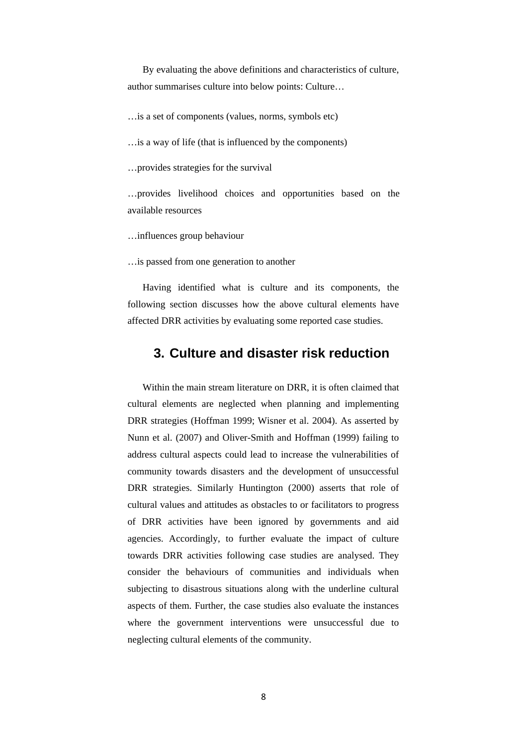By evaluating the above definitions and characteristics of culture, author summarises culture into below points: Culture…

…is a set of components (values, norms, symbols etc)

…is a way of life (that is influenced by the components)

…provides strategies for the survival

…provides livelihood choices and opportunities based on the available resources

…influences group behaviour

…is passed from one generation to another

Having identified what is culture and its components, the following section discusses how the above cultural elements have affected DRR activities by evaluating some reported case studies.

## **3. Culture and disaster risk reduction**

Within the main stream literature on DRR, it is often claimed that cultural elements are neglected when planning and implementing DRR strategies (Hoffman 1999; Wisner et al. 2004). As asserted by Nunn et al. (2007) and Oliver-Smith and Hoffman (1999) failing to address cultural aspects could lead to increase the vulnerabilities of community towards disasters and the development of unsuccessful DRR strategies. Similarly Huntington (2000) asserts that role of cultural values and attitudes as obstacles to or facilitators to progress of DRR activities have been ignored by governments and aid agencies. Accordingly, to further evaluate the impact of culture towards DRR activities following case studies are analysed. They consider the behaviours of communities and individuals when subjecting to disastrous situations along with the underline cultural aspects of them. Further, the case studies also evaluate the instances where the government interventions were unsuccessful due to neglecting cultural elements of the community.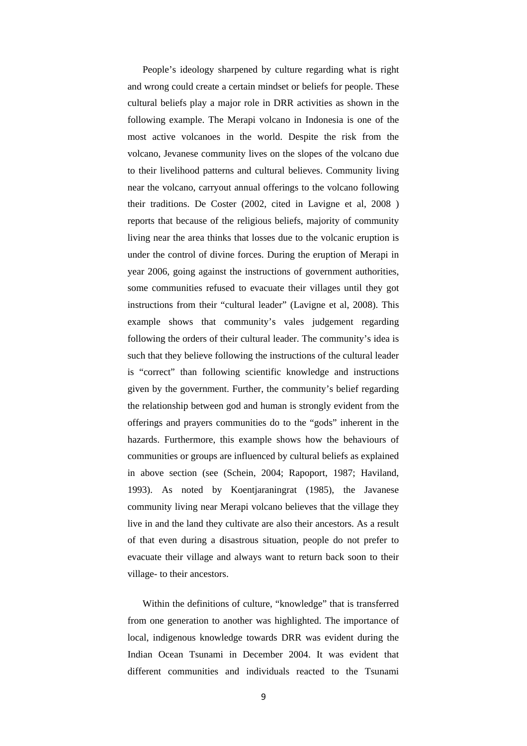People's ideology sharpened by culture regarding what is right and wrong could create a certain mindset or beliefs for people. These cultural beliefs play a major role in DRR activities as shown in the following example. The Merapi volcano in Indonesia is one of the most active volcanoes in the world. Despite the risk from the volcano, Jevanese community lives on the slopes of the volcano due to their livelihood patterns and cultural believes. Community living near the volcano, carryout annual offerings to the volcano following their traditions. De Coster (2002, cited in Lavigne et al, 2008 ) reports that because of the religious beliefs, majority of community living near the area thinks that losses due to the volcanic eruption is under the control of divine forces. During the eruption of Merapi in year 2006, going against the instructions of government authorities, some communities refused to evacuate their villages until they got instructions from their "cultural leader" (Lavigne et al, 2008). This example shows that community's vales judgement regarding following the orders of their cultural leader. The community's idea is such that they believe following the instructions of the cultural leader is "correct" than following scientific knowledge and instructions given by the government. Further, the community's belief regarding the relationship between god and human is strongly evident from the offerings and prayers communities do to the "gods" inherent in the hazards. Furthermore, this example shows how the behaviours of communities or groups are influenced by cultural beliefs as explained in above section (see (Schein, 2004; Rapoport, 1987; Haviland, 1993). As noted by Koentjaraningrat (1985), the Javanese community living near Merapi volcano believes that the village they live in and the land they cultivate are also their ancestors. As a result of that even during a disastrous situation, people do not prefer to evacuate their village and always want to return back soon to their village- to their ancestors.

Within the definitions of culture, "knowledge" that is transferred from one generation to another was highlighted. The importance of local, indigenous knowledge towards DRR was evident during the Indian Ocean Tsunami in December 2004. It was evident that different communities and individuals reacted to the Tsunami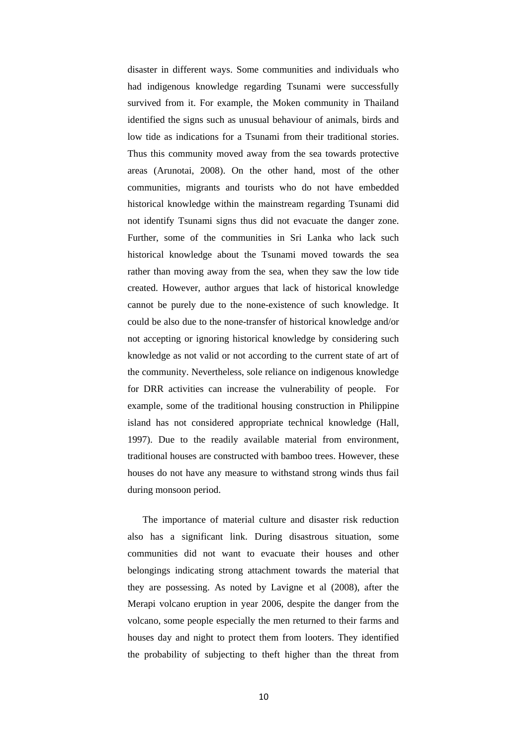disaster in different ways. Some communities and individuals who had indigenous knowledge regarding Tsunami were successfully survived from it. For example, the Moken community in Thailand identified the signs such as unusual behaviour of animals, birds and low tide as indications for a Tsunami from their traditional stories. Thus this community moved away from the sea towards protective areas (Arunotai, 2008). On the other hand, most of the other communities, migrants and tourists who do not have embedded historical knowledge within the mainstream regarding Tsunami did not identify Tsunami signs thus did not evacuate the danger zone. Further, some of the communities in Sri Lanka who lack such historical knowledge about the Tsunami moved towards the sea rather than moving away from the sea, when they saw the low tide created. However, author argues that lack of historical knowledge cannot be purely due to the none-existence of such knowledge. It could be also due to the none-transfer of historical knowledge and/or not accepting or ignoring historical knowledge by considering such knowledge as not valid or not according to the current state of art of the community. Nevertheless, sole reliance on indigenous knowledge for DRR activities can increase the vulnerability of people. For example, some of the traditional housing construction in Philippine island has not considered appropriate technical knowledge (Hall, 1997). Due to the readily available material from environment, traditional houses are constructed with bamboo trees. However, these houses do not have any measure to withstand strong winds thus fail during monsoon period.

The importance of material culture and disaster risk reduction also has a significant link. During disastrous situation, some communities did not want to evacuate their houses and other belongings indicating strong attachment towards the material that they are possessing. As noted by Lavigne et al (2008), after the Merapi volcano eruption in year 2006, despite the danger from the volcano, some people especially the men returned to their farms and houses day and night to protect them from looters. They identified the probability of subjecting to theft higher than the threat from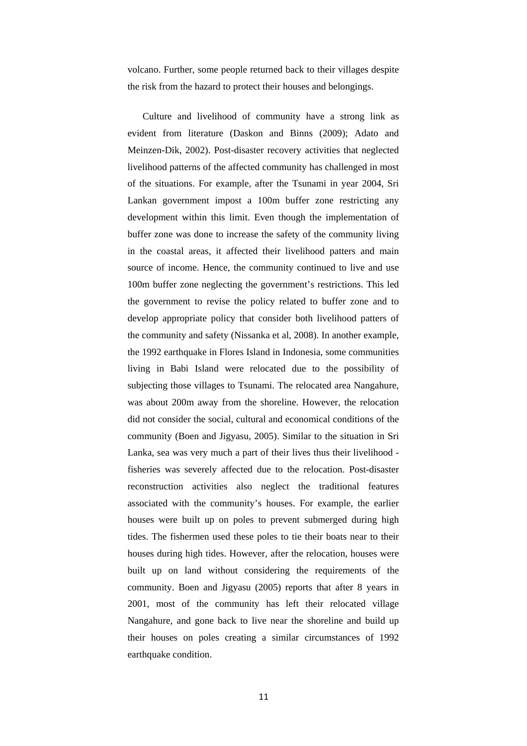volcano. Further, some people returned back to their villages despite the risk from the hazard to protect their houses and belongings.

Culture and livelihood of community have a strong link as evident from literature (Daskon and Binns (2009); Adato and Meinzen-Dik, 2002). Post-disaster recovery activities that neglected livelihood patterns of the affected community has challenged in most of the situations. For example, after the Tsunami in year 2004, Sri Lankan government impost a 100m buffer zone restricting any development within this limit. Even though the implementation of buffer zone was done to increase the safety of the community living in the coastal areas, it affected their livelihood patters and main source of income. Hence, the community continued to live and use 100m buffer zone neglecting the government's restrictions. This led the government to revise the policy related to buffer zone and to develop appropriate policy that consider both livelihood patters of the community and safety (Nissanka et al, 2008). In another example, the 1992 earthquake in Flores Island in Indonesia, some communities living in Babi Island were relocated due to the possibility of subjecting those villages to Tsunami. The relocated area Nangahure, was about 200m away from the shoreline. However, the relocation did not consider the social, cultural and economical conditions of the community (Boen and Jigyasu, 2005). Similar to the situation in Sri Lanka, sea was very much a part of their lives thus their livelihood fisheries was severely affected due to the relocation. Post-disaster reconstruction activities also neglect the traditional features associated with the community's houses. For example, the earlier houses were built up on poles to prevent submerged during high tides. The fishermen used these poles to tie their boats near to their houses during high tides. However, after the relocation, houses were built up on land without considering the requirements of the community. Boen and Jigyasu (2005) reports that after 8 years in 2001, most of the community has left their relocated village Nangahure, and gone back to live near the shoreline and build up their houses on poles creating a similar circumstances of 1992 earthquake condition.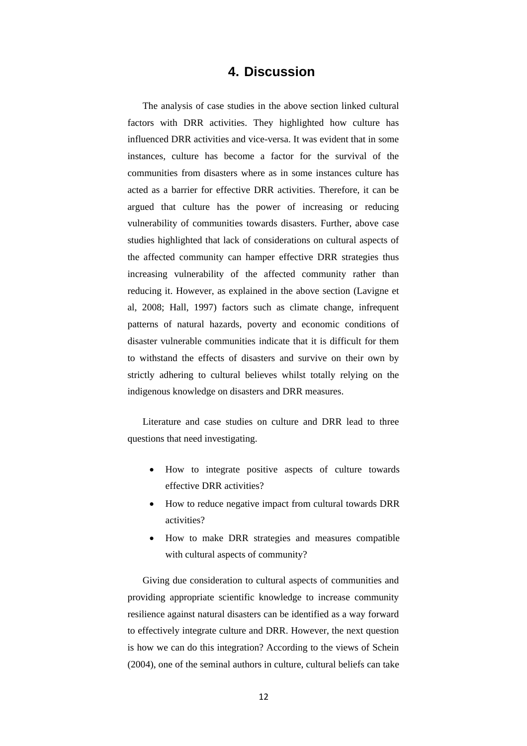# **4. Discussion**

The analysis of case studies in the above section linked cultural factors with DRR activities. They highlighted how culture has influenced DRR activities and vice-versa. It was evident that in some instances, culture has become a factor for the survival of the communities from disasters where as in some instances culture has acted as a barrier for effective DRR activities. Therefore, it can be argued that culture has the power of increasing or reducing vulnerability of communities towards disasters. Further, above case studies highlighted that lack of considerations on cultural aspects of the affected community can hamper effective DRR strategies thus increasing vulnerability of the affected community rather than reducing it. However, as explained in the above section (Lavigne et al, 2008; Hall, 1997) factors such as climate change, infrequent patterns of natural hazards, poverty and economic conditions of disaster vulnerable communities indicate that it is difficult for them to withstand the effects of disasters and survive on their own by strictly adhering to cultural believes whilst totally relying on the indigenous knowledge on disasters and DRR measures.

Literature and case studies on culture and DRR lead to three questions that need investigating.

- How to integrate positive aspects of culture towards effective DRR activities?
- How to reduce negative impact from cultural towards DRR activities?
- How to make DRR strategies and measures compatible with cultural aspects of community?

Giving due consideration to cultural aspects of communities and providing appropriate scientific knowledge to increase community resilience against natural disasters can be identified as a way forward to effectively integrate culture and DRR. However, the next question is how we can do this integration? According to the views of Schein (2004), one of the seminal authors in culture, cultural beliefs can take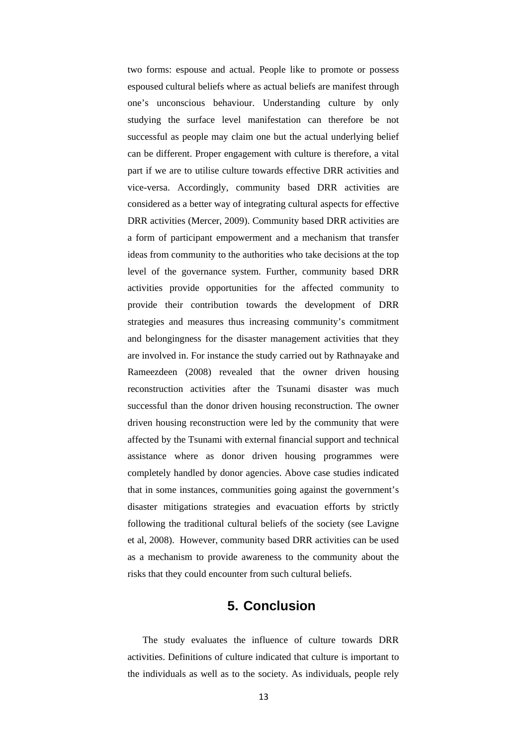two forms: espouse and actual. People like to promote or possess espoused cultural beliefs where as actual beliefs are manifest through one's unconscious behaviour. Understanding culture by only studying the surface level manifestation can therefore be not successful as people may claim one but the actual underlying belief can be different. Proper engagement with culture is therefore, a vital part if we are to utilise culture towards effective DRR activities and vice-versa. Accordingly, community based DRR activities are considered as a better way of integrating cultural aspects for effective DRR activities (Mercer, 2009). Community based DRR activities are a form of participant empowerment and a mechanism that transfer ideas from community to the authorities who take decisions at the top level of the governance system. Further, community based DRR activities provide opportunities for the affected community to provide their contribution towards the development of DRR strategies and measures thus increasing community's commitment and belongingness for the disaster management activities that they are involved in. For instance the study carried out by Rathnayake and Rameezdeen (2008) revealed that the owner driven housing reconstruction activities after the Tsunami disaster was much successful than the donor driven housing reconstruction. The owner driven housing reconstruction were led by the community that were affected by the Tsunami with external financial support and technical assistance where as donor driven housing programmes were completely handled by donor agencies. Above case studies indicated that in some instances, communities going against the government's disaster mitigations strategies and evacuation efforts by strictly following the traditional cultural beliefs of the society (see Lavigne et al, 2008). However, community based DRR activities can be used as a mechanism to provide awareness to the community about the risks that they could encounter from such cultural beliefs.

# **5. Conclusion**

The study evaluates the influence of culture towards DRR activities. Definitions of culture indicated that culture is important to the individuals as well as to the society. As individuals, people rely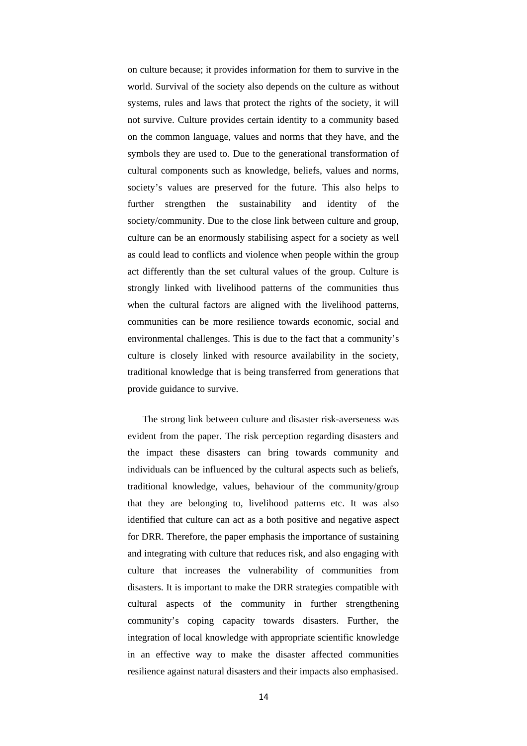on culture because; it provides information for them to survive in the world. Survival of the society also depends on the culture as without systems, rules and laws that protect the rights of the society, it will not survive. Culture provides certain identity to a community based on the common language, values and norms that they have, and the symbols they are used to. Due to the generational transformation of cultural components such as knowledge, beliefs, values and norms, society's values are preserved for the future. This also helps to further strengthen the sustainability and identity of the society/community. Due to the close link between culture and group, culture can be an enormously stabilising aspect for a society as well as could lead to conflicts and violence when people within the group act differently than the set cultural values of the group. Culture is strongly linked with livelihood patterns of the communities thus when the cultural factors are aligned with the livelihood patterns, communities can be more resilience towards economic, social and environmental challenges. This is due to the fact that a community's culture is closely linked with resource availability in the society, traditional knowledge that is being transferred from generations that provide guidance to survive.

The strong link between culture and disaster risk-averseness was evident from the paper. The risk perception regarding disasters and the impact these disasters can bring towards community and individuals can be influenced by the cultural aspects such as beliefs, traditional knowledge, values, behaviour of the community/group that they are belonging to, livelihood patterns etc. It was also identified that culture can act as a both positive and negative aspect for DRR. Therefore, the paper emphasis the importance of sustaining and integrating with culture that reduces risk, and also engaging with culture that increases the vulnerability of communities from disasters. It is important to make the DRR strategies compatible with cultural aspects of the community in further strengthening community's coping capacity towards disasters. Further, the integration of local knowledge with appropriate scientific knowledge in an effective way to make the disaster affected communities resilience against natural disasters and their impacts also emphasised.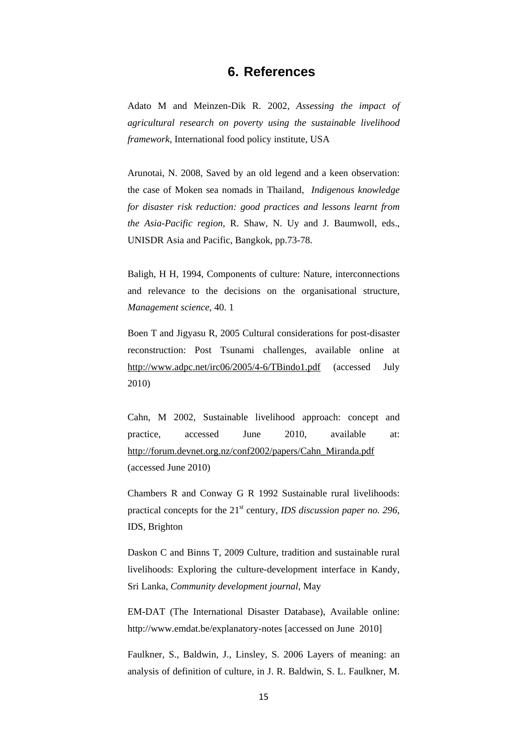## **6. References**

Adato M and Meinzen-Dik R. 2002, *Assessing the impact of agricultural research on poverty using the sustainable livelihood framework,* International food policy institute, USA

Arunotai, N. 2008, Saved by an old legend and a keen observation: the case of Moken sea nomads in Thailand, *Indigenous knowledge for disaster risk reduction: good practices and lessons learnt from the Asia-Pacific region,* R. Shaw, N. Uy and J. Baumwoll, eds., UNISDR Asia and Pacific, Bangkok, pp.73-78.

Baligh, H H, 1994, Components of culture: Nature, interconnections and relevance to the decisions on the organisational structure, *Management science*, 40. 1

Boen T and Jigyasu R, 2005 Cultural considerations for post-disaster reconstruction: Post Tsunami challenges, available online at http://www.adpc.net/irc06/2005/4-6/TBindo1.pdf (accessed July 2010)

Cahn, M 2002, Sustainable livelihood approach: concept and practice, accessed June 2010, available at: http://forum.devnet.org.nz/conf2002/papers/Cahn\_Miranda.pdf (accessed June 2010)

Chambers R and Conway G R 1992 Sustainable rural livelihoods: practical concepts for the 21<sup>st</sup> century, *IDS discussion paper no.* 296, IDS, Brighton

Daskon C and Binns T, 2009 Culture, tradition and sustainable rural livelihoods: Exploring the culture-development interface in Kandy, Sri Lanka, *Community development journal*, May

EM-DAT (The International Disaster Database), Available online: http://www.emdat.be/explanatory-notes [accessed on June 2010]

Faulkner, S., Baldwin, J., Linsley, S. 2006 Layers of meaning: an analysis of definition of culture, in J. R. Baldwin, S. L. Faulkner, M.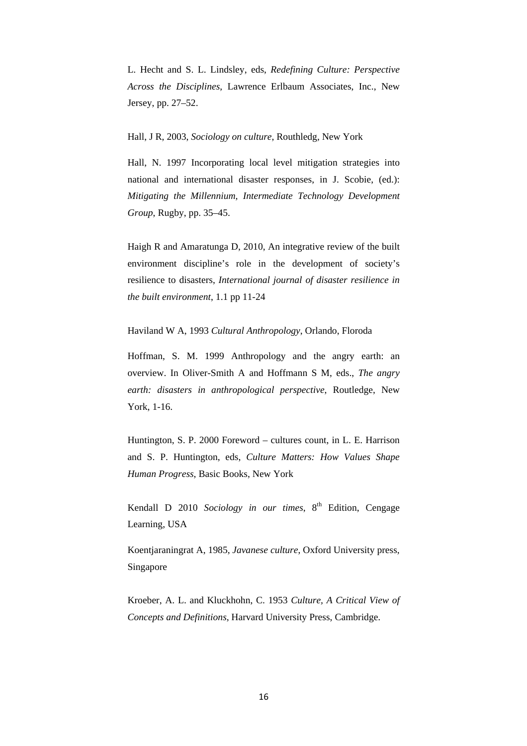L. Hecht and S. L. Lindsley, eds, *Redefining Culture: Perspective Across the Disciplines*, Lawrence Erlbaum Associates, Inc., New Jersey, pp. 27–52.

Hall, J R, 2003, *Sociology on culture*, Routhledg, New York

Hall, N. 1997 Incorporating local level mitigation strategies into national and international disaster responses, in J. Scobie, (ed.): *Mitigating the Millennium, Intermediate Technology Development Group*, Rugby, pp. 35–45.

Haigh R and Amaratunga D, 2010, An integrative review of the built environment discipline's role in the development of society's resilience to disasters, *International journal of disaster resilience in the built environment*, 1.1 pp 11-24

Haviland W A, 1993 *Cultural Anthropology*, Orlando, Floroda

Hoffman, S. M. 1999 Anthropology and the angry earth: an overview. In Oliver-Smith A and Hoffmann S M, eds., *The angry earth: disasters in anthropological perspective*, Routledge, New York, 1-16.

Huntington, S. P. 2000 Foreword – cultures count, in L. E. Harrison and S. P. Huntington, eds, *Culture Matters: How Values Shape Human Progress*, Basic Books, New York

Kendall D 2010 *Sociology in our times*, 8<sup>th</sup> Edition, Cengage Learning, USA

Koentjaraningrat A, 1985, *Javanese culture*, Oxford University press, Singapore

Kroeber, A. L. and Kluckhohn, C. 1953 *Culture, A Critical View of Concepts and Definitions*, Harvard University Press, Cambridge.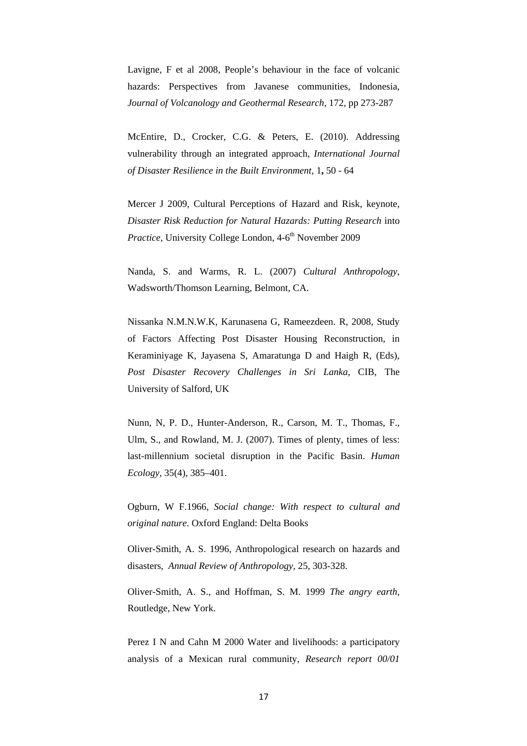Lavigne, F et al 2008, People's behaviour in the face of volcanic hazards: Perspectives from Javanese communities, Indonesia, *Journal of Volcanology and Geothermal Research*, 172, pp 273-287

McEntire, D., Crocker, C.G. & Peters, E. (2010). Addressing vulnerability through an integrated approach, *International Journal of Disaster Resilience in the Built Environment,* 1**,** 50 - 64

Mercer J 2009, Cultural Perceptions of Hazard and Risk, keynote, *Disaster Risk Reduction for Natural Hazards: Putting Research* into *Practice, University College London, 4-6<sup>th</sup> November 2009* 

Nanda, S. and Warms, R. L. (2007) *Cultural Anthropology*, Wadsworth/Thomson Learning, Belmont, CA.

Nissanka N.M.N.W.K, Karunasena G, Rameezdeen. R, 2008, Study of Factors Affecting Post Disaster Housing Reconstruction, in Keraminiyage K, Jayasena S, Amaratunga D and Haigh R, (Eds), *Post Disaster Recovery Challenges in Sri Lanka*, CIB, The University of Salford, UK

Nunn, N, P. D., Hunter-Anderson, R., Carson, M. T., Thomas, F., Ulm, S., and Rowland, M. J. (2007). Times of plenty, times of less: last-millennium societal disruption in the Pacific Basin. *Human Ecology,* 35(4), 385–401.

Ogburn, W F.1966, *Social change: With respect to cultural and original nature*. Oxford England: Delta Books

Oliver-Smith, A. S. 1996, Anthropological research on hazards and disasters, *Annual Review of Anthropology,* 25, 303-328.

Oliver-Smith, A. S., and Hoffman, S. M. 1999 *The angry earth,*  Routledge, New York.

Perez I N and Cahn M 2000 Water and livelihoods: a participatory analysis of a Mexican rural community, *Research report 00/01*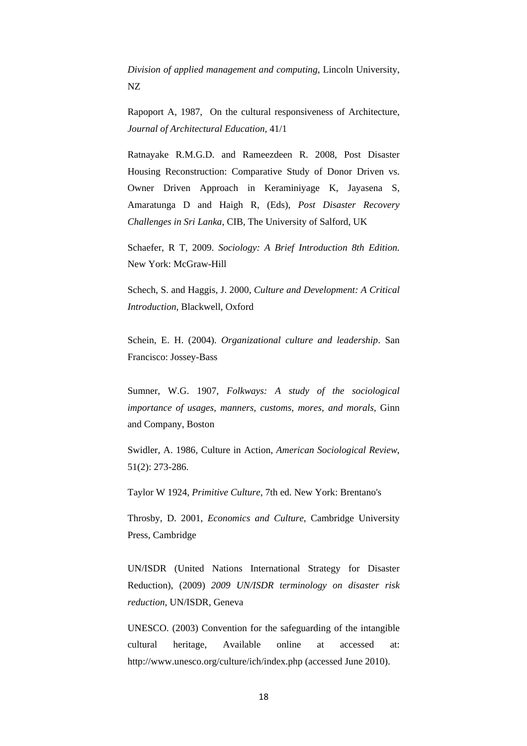*Division of applied management and computing*, Lincoln University, NZ

Rapoport A, 1987, On the cultural responsiveness of Architecture, *Journal of Architectural Education,* 41/1

Ratnayake R.M.G.D. and Rameezdeen R. 2008, Post Disaster Housing Reconstruction: Comparative Study of Donor Driven vs. Owner Driven Approach in Keraminiyage K, Jayasena S, Amaratunga D and Haigh R, (Eds), *Post Disaster Recovery Challenges in Sri Lanka*, CIB, The University of Salford, UK

Schaefer, R T, 2009. *Sociology: A Brief Introduction 8th Edition.* New York: McGraw-Hill

Schech, S. and Haggis, J. 2000, *Culture and Development: A Critical Introduction*, Blackwell, Oxford

Schein, E. H. (2004). *Organizational culture and leadership*. San Francisco: Jossey-Bass

Sumner, W.G. 1907, *Folkways: A study of the sociological importance of usages, manners, customs, mores, and morals,* Ginn and Company, Boston

Swidler, A. 1986, Culture in Action, *American Sociological Review*, 51(2): 273-286.

Taylor W 1924, *Primitive Culture*, 7th ed. New York: Brentano's

Throsby, D. 2001, *Economics and Culture*, Cambridge University Press, Cambridge

UN/ISDR (United Nations International Strategy for Disaster Reduction), (2009) *2009 UN/ISDR terminology on disaster risk reduction*, UN/ISDR, Geneva

UNESCO. (2003) Convention for the safeguarding of the intangible cultural heritage, Available online at accessed at: http://www.unesco.org/culture/ich/index.php (accessed June 2010).